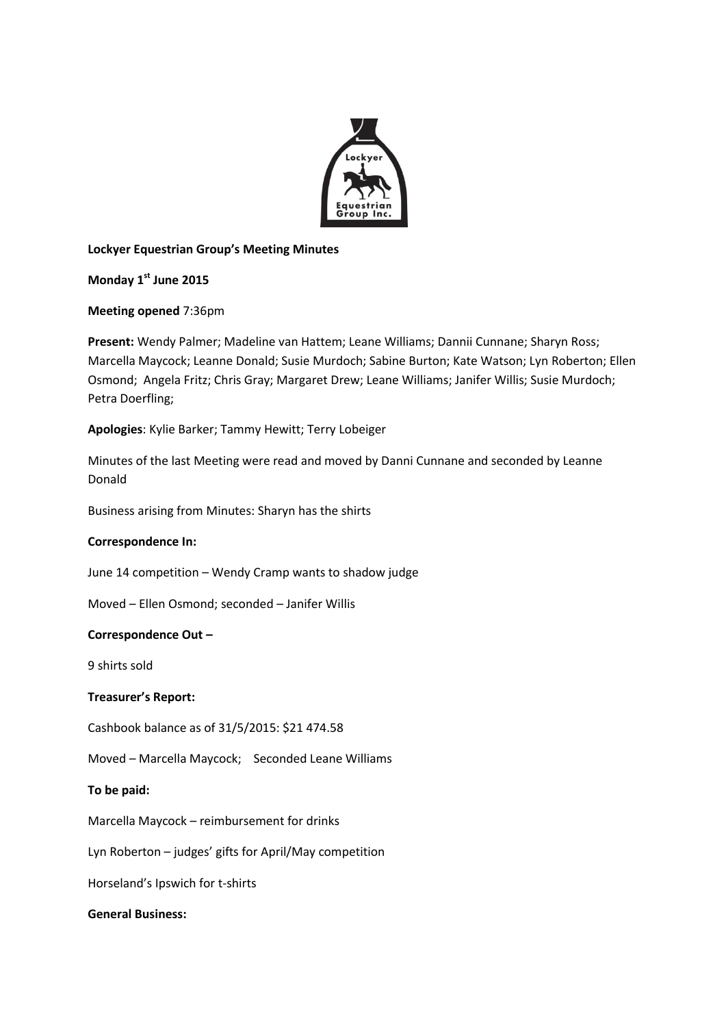

# **Lockyer Equestrian Group's Meeting Minutes**

# **Monday 1st June 2015**

### **Meeting opened** 7:36pm

**Present:** Wendy Palmer; Madeline van Hattem; Leane Williams; Dannii Cunnane; Sharyn Ross; Marcella Maycock; Leanne Donald; Susie Murdoch; Sabine Burton; Kate Watson; Lyn Roberton; Ellen Osmond; Angela Fritz; Chris Gray; Margaret Drew; Leane Williams; Janifer Willis; Susie Murdoch; Petra Doerfling;

# **Apologies**: Kylie Barker; Tammy Hewitt; Terry Lobeiger

Minutes of the last Meeting were read and moved by Danni Cunnane and seconded by Leanne Donald

Business arising from Minutes: Sharyn has the shirts

### **Correspondence In:**

June 14 competition – Wendy Cramp wants to shadow judge

Moved – Ellen Osmond; seconded – Janifer Willis

### **Correspondence Out –**

9 shirts sold

### **Treasurer's Report:**

Cashbook balance as of 31/5/2015: \$21 474.58

Moved – Marcella Maycock; Seconded Leane Williams

### **To be paid:**

Marcella Maycock – reimbursement for drinks

Lyn Roberton – judges' gifts for April/May competition

Horseland's Ipswich for t-shirts

### **General Business:**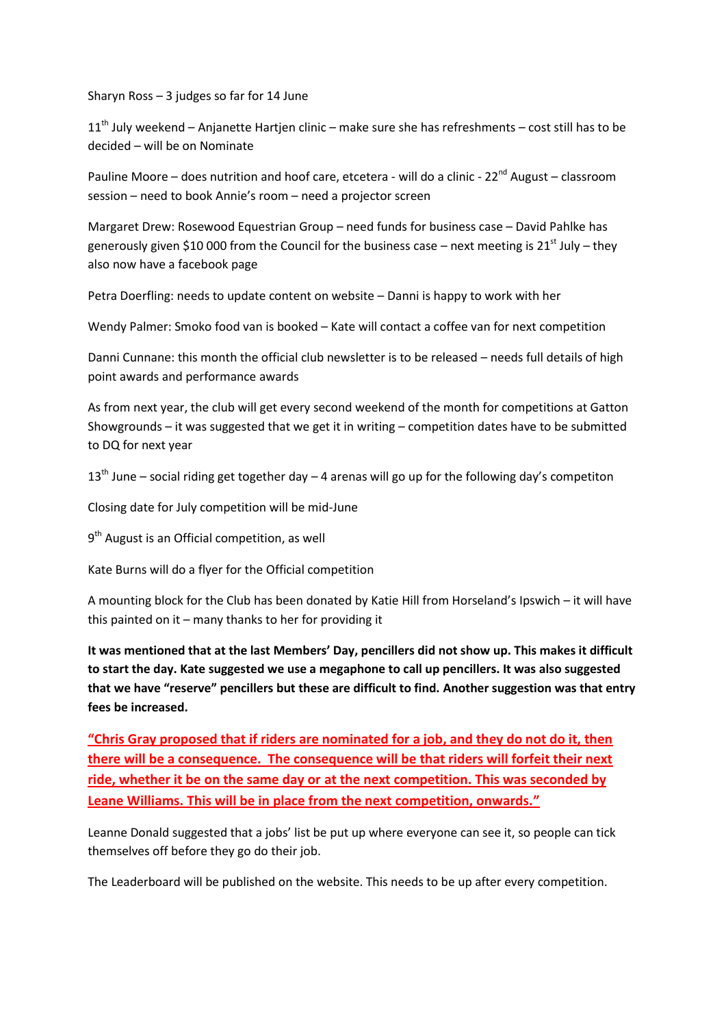Sharyn Ross – 3 judges so far for 14 June

 $11<sup>th</sup>$  July weekend – Anjanette Hartjen clinic – make sure she has refreshments – cost still has to be decided – will be on Nominate

Pauline Moore – does nutrition and hoof care, etcetera - will do a clinic -  $22^{nd}$  August – classroom session – need to book Annie's room – need a projector screen

Margaret Drew: Rosewood Equestrian Group – need funds for business case – David Pahlke has generously given \$10 000 from the Council for the business case – next meeting is 21<sup>st</sup> July – they also now have a facebook page

Petra Doerfling: needs to update content on website – Danni is happy to work with her

Wendy Palmer: Smoko food van is booked – Kate will contact a coffee van for next competition

Danni Cunnane: this month the official club newsletter is to be released – needs full details of high point awards and performance awards

As from next year, the club will get every second weekend of the month for competitions at Gatton Showgrounds – it was suggested that we get it in writing – competition dates have to be submitted to DQ for next year

 $13<sup>th</sup>$  June – social riding get together day – 4 arenas will go up for the following day's competiton

Closing date for July competition will be mid-June

9<sup>th</sup> August is an Official competition, as well

Kate Burns will do a flyer for the Official competition

A mounting block for the Club has been donated by Katie Hill from Horseland's Ipswich – it will have this painted on it – many thanks to her for providing it

**It was mentioned that at the last Members' Day, pencillers did not show up. This makes it difficult to start the day. Kate suggested we use a megaphone to call up pencillers. It was also suggested that we have "reserve" pencillers but these are difficult to find. Another suggestion was that entry fees be increased.**

**"Chris Gray proposed that if riders are nominated for a job, and they do not do it, then there will be a consequence. The consequence will be that riders will forfeit their next ride, whether it be on the same day or at the next competition. This was seconded by Leane Williams. This will be in place from the next competition, onwards."**

Leanne Donald suggested that a jobs' list be put up where everyone can see it, so people can tick themselves off before they go do their job.

The Leaderboard will be published on the website. This needs to be up after every competition.